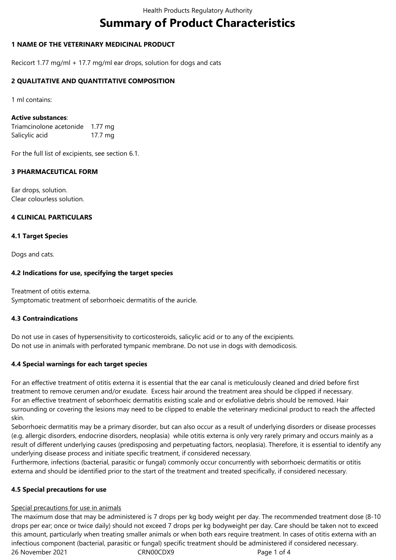# **Summary of Product Characteristics**

# **1 NAME OF THE VETERINARY MEDICINAL PRODUCT**

Recicort 1.77 mg/ml + 17.7 mg/ml ear drops, solution for dogs and cats

#### **2 QUALITATIVE AND QUANTITATIVE COMPOSITION**

1 ml contains:

#### **Active substances**:

Triamcinolone acetonide 1.77 mg Salicylic acid 17.7 mg

For the full list of excipients, see section 6.1.

## **3 PHARMACEUTICAL FORM**

Ear drops, solution. Clear colourless solution.

## **4 CLINICAL PARTICULARS**

## **4.1 Target Species**

Dogs and cats.

#### **4.2 Indications for use, specifying the target species**

Treatment of otitis externa. Symptomatic treatment of seborrhoeic dermatitis of the auricle.

#### **4.3 Contraindications**

Do not use in cases of hypersensitivity to corticosteroids, salicylic acid or to any of the excipients. Do not use in animals with perforated tympanic membrane. Do not use in dogs with demodicosis.

#### **4.4 Special warnings for each target species**

For an effective treatment of otitis externa it is essential that the ear canal is meticulously cleaned and dried before first treatment to remove cerumen and/or exudate. Excess hair around the treatment area should be clipped if necessary. For an effective treatment of seborrhoeic dermatitis existing scale and or exfoliative debris should be removed. Hair surrounding or covering the lesions may need to be clipped to enable the veterinary medicinal product to reach the affected skin.

Seborrhoeic dermatitis may be a primary disorder, but can also occur as a result of underlying disorders or disease processes (e.g. allergic disorders, endocrine disorders, neoplasia) while otitis externa is only very rarely primary and occurs mainly as a result of different underlying causes (predisposing and perpetuating factors, neoplasia). Therefore, it is essential to identify any underlying disease process and initiate specific treatment, if considered necessary.

Furthermore, infections (bacterial, parasitic or fungal) commonly occur concurrently with seborrhoeic dermatitis or otitis externa and should be identified prior to the start of the treatment and treated specifically, if considered necessary.

#### **4.5 Special precautions for use**

#### Special precautions for use in animals

26 November 2021 CRN00CDX9 Page 1 of 4 The maximum dose that may be administered is 7 drops per kg body weight per day. The recommended treatment dose (8-10 drops per ear; once or twice daily) should not exceed 7 drops per kg bodyweight per day. Care should be taken not to exceed this amount, particularly when treating smaller animals or when both ears require treatment. In cases of otitis externa with an infectious component (bacterial, parasitic or fungal) specific treatment should be administered if considered necessary.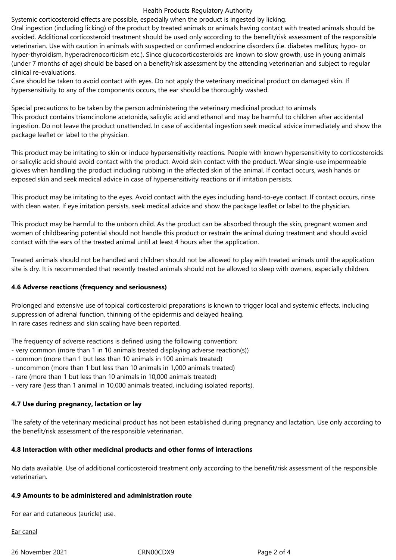#### Health Products Regulatory Authority

Systemic corticosteroid effects are possible, especially when the product is ingested by licking.

Oral ingestion (including licking) of the product by treated animals or animals having contact with treated animals should be avoided. Additional corticosteroid treatment should be used only according to the benefit/risk assessment of the responsible veterinarian. Use with caution in animals with suspected or confirmed endocrine disorders (i.e. diabetes mellitus; hypo- or hyper-thyroidism, hyperadrenocorticism etc.). Since glucocorticosteroids are known to slow growth, use in young animals (under 7 months of age) should be based on a benefit/risk assessment by the attending veterinarian and subject to regular clinical re-evaluations.

Care should be taken to avoid contact with eyes. Do not apply the veterinary medicinal product on damaged skin. If hypersensitivity to any of the components occurs, the ear should be thoroughly washed.

Special precautions to be taken by the person administering the veterinary medicinal product to animals This product contains triamcinolone acetonide, salicylic acid and ethanol and may be harmful to children after accidental ingestion. Do not leave the product unattended. In case of accidental ingestion seek medical advice immediately and show the package leaflet or label to the physician.

This product may be irritating to skin or induce hypersensitivity reactions. People with known hypersensitivity to corticosteroids or salicylic acid should avoid contact with the product. Avoid skin contact with the product. Wear single-use impermeable gloves when handling the product including rubbing in the affected skin of the animal. If contact occurs, wash hands or exposed skin and seek medical advice in case of hypersensitivity reactions or if irritation persists.

This product may be irritating to the eyes. Avoid contact with the eyes including hand-to-eye contact. If contact occurs, rinse with clean water. If eye irritation persists, seek medical advice and show the package leaflet or label to the physician.

This product may be harmful to the unborn child. As the product can be absorbed through the skin, pregnant women and women of childbearing potential should not handle this product or restrain the animal during treatment and should avoid contact with the ears of the treated animal until at least 4 hours after the application.

Treated animals should not be handled and children should not be allowed to play with treated animals until the application site is dry. It is recommended that recently treated animals should not be allowed to sleep with owners, especially children.

# **4.6 Adverse reactions (frequency and seriousness)**

Prolonged and extensive use of topical corticosteroid preparations is known to trigger local and systemic effects, including suppression of adrenal function, thinning of the epidermis and delayed healing. In rare cases redness and skin scaling have been reported.

The frequency of adverse reactions is defined using the following convention:

- very common (more than 1 in 10 animals treated displaying adverse reaction(s))
- common (more than 1 but less than 10 animals in 100 animals treated)
- uncommon (more than 1 but less than 10 animals in 1,000 animals treated)
- rare (more than 1 but less than 10 animals in 10,000 animals treated)
- very rare (less than 1 animal in 10,000 animals treated, including isolated reports).

# **4.7 Use during pregnancy, lactation or lay**

The safety of the veterinary medicinal product has not been established during pregnancy and lactation. Use only according to the benefit/risk assessment of the responsible veterinarian.

#### **4.8 Interaction with other medicinal products and other forms of interactions**

No data available. Use of additional corticosteroid treatment only according to the benefit/risk assessment of the responsible veterinarian.

#### **4.9 Amounts to be administered and administration route**

For ear and cutaneous (auricle) use.

Ear canal

26 November 2021 CRN00CDX9 Page 2 of 4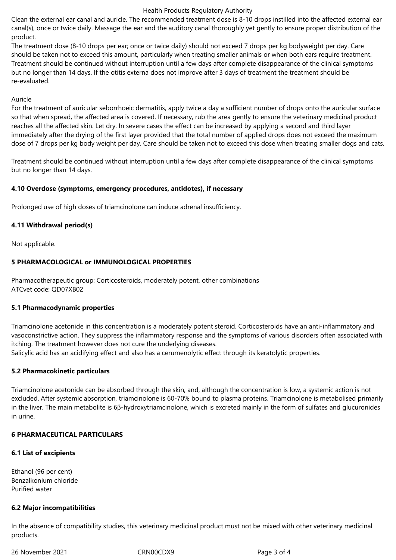#### Health Products Regulatory Authority

Clean the external ear canal and auricle. The recommended treatment dose is 8-10 drops instilled into the affected external ear canal(s), once or twice daily. Massage the ear and the auditory canal thoroughly yet gently to ensure proper distribution of the product.

The treatment dose (8-10 drops per ear; once or twice daily) should not exceed 7 drops per kg bodyweight per day. Care should be taken not to exceed this amount, particularly when treating smaller animals or when both ears require treatment. Treatment should be continued without interruption until a few days after complete disappearance of the clinical symptoms but no longer than 14 days. If the otitis externa does not improve after 3 days of treatment the treatment should be re-evaluated.

#### Auricle

For the treatment of auricular seborrhoeic dermatitis, apply twice a day a sufficient number of drops onto the auricular surface so that when spread, the affected area is covered. If necessary, rub the area gently to ensure the veterinary medicinal product reaches all the affected skin. Let dry. In severe cases the effect can be increased by applying a second and third layer immediately after the drying of the first layer provided that the total number of applied drops does not exceed the maximum dose of 7 drops per kg body weight per day. Care should be taken not to exceed this dose when treating smaller dogs and cats.

Treatment should be continued without interruption until a few days after complete disappearance of the clinical symptoms but no longer than 14 days.

#### **4.10 Overdose (symptoms, emergency procedures, antidotes), if necessary**

Prolonged use of high doses of triamcinolone can induce adrenal insufficiency.

## **4.11 Withdrawal period(s)**

Not applicable.

## **5 PHARMACOLOGICAL or IMMUNOLOGICAL PROPERTIES**

Pharmacotherapeutic group: Corticosteroids, moderately potent, other combinations ATCvet code: QD07XB02

#### **5.1 Pharmacodynamic properties**

Triamcinolone acetonide in this concentration is a moderately potent steroid. Corticosteroids have an anti-inflammatory and vasoconstrictive action. They suppress the inflammatory response and the symptoms of various disorders often associated with itching. The treatment however does not cure the underlying diseases.

Salicylic acid has an acidifying effect and also has a cerumenolytic effect through its keratolytic properties.

#### **5.2 Pharmacokinetic particulars**

Triamcinolone acetonide can be absorbed through the skin, and, although the concentration is low, a systemic action is not excluded. After systemic absorption, triamcinolone is 60-70% bound to plasma proteins. Triamcinolone is metabolised primarily in the liver. The main metabolite is 6β-hydroxytriamcinolone, which is excreted mainly in the form of sulfates and glucuronides in urine.

#### **6 PHARMACEUTICAL PARTICULARS**

# **6.1 List of excipients**

Ethanol (96 per cent) Benzalkonium chloride Purified water

#### **6.2 Major incompatibilities**

In the absence of compatibility studies, this veterinary medicinal product must not be mixed with other veterinary medicinal products.

26 November 2021 CRN00CDX9 Page 3 of 4